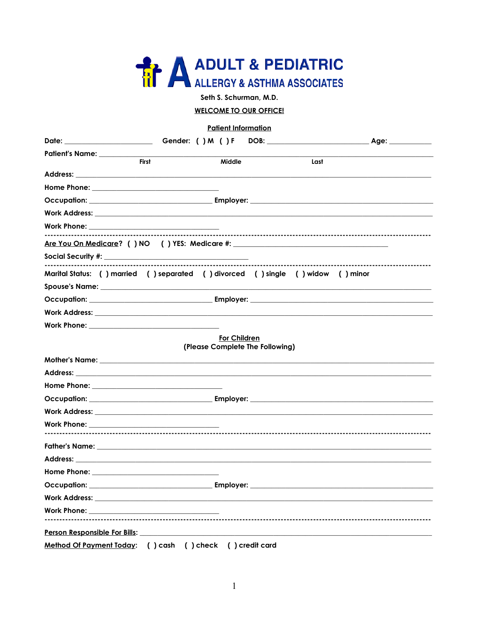

Seth S. Schurman, M.D.

# **WELCOME TO OUR OFFICE!**

#### **Patient Information**

| <b>First</b>                                                                                                                                                                                                                         | Middle                                                 | Last |  |
|--------------------------------------------------------------------------------------------------------------------------------------------------------------------------------------------------------------------------------------|--------------------------------------------------------|------|--|
|                                                                                                                                                                                                                                      |                                                        |      |  |
|                                                                                                                                                                                                                                      |                                                        |      |  |
|                                                                                                                                                                                                                                      |                                                        |      |  |
|                                                                                                                                                                                                                                      |                                                        |      |  |
|                                                                                                                                                                                                                                      |                                                        |      |  |
|                                                                                                                                                                                                                                      |                                                        |      |  |
|                                                                                                                                                                                                                                      |                                                        |      |  |
| Marital Status: () married () separated () divorced () single () widow () minor                                                                                                                                                      |                                                        |      |  |
|                                                                                                                                                                                                                                      |                                                        |      |  |
|                                                                                                                                                                                                                                      |                                                        |      |  |
|                                                                                                                                                                                                                                      |                                                        |      |  |
|                                                                                                                                                                                                                                      |                                                        |      |  |
|                                                                                                                                                                                                                                      |                                                        |      |  |
|                                                                                                                                                                                                                                      | <b>For Children</b><br>(Please Complete The Following) |      |  |
|                                                                                                                                                                                                                                      |                                                        |      |  |
|                                                                                                                                                                                                                                      |                                                        |      |  |
|                                                                                                                                                                                                                                      |                                                        |      |  |
|                                                                                                                                                                                                                                      |                                                        |      |  |
| Work Address: <u>Alexander Address and Address and Address and Address and Address and Address and Address and Address and Address and Address and Address and Address and Address and Address and Address and Address and Addre</u> |                                                        |      |  |
|                                                                                                                                                                                                                                      |                                                        |      |  |
|                                                                                                                                                                                                                                      |                                                        |      |  |
|                                                                                                                                                                                                                                      |                                                        |      |  |
|                                                                                                                                                                                                                                      |                                                        |      |  |
|                                                                                                                                                                                                                                      |                                                        |      |  |
| Occupation:                                                                                                                                                                                                                          | Employer:                                              |      |  |
| Work Address: the contract of the contract of the contract of the contract of the contract of the contract of the contract of the contract of the contract of the contract of the contract of the contract of the contract of        |                                                        |      |  |
|                                                                                                                                                                                                                                      |                                                        |      |  |
| Person Responsible For Bills:                                                                                                                                                                                                        |                                                        |      |  |
| Method Of Payment Today: () cash () check () credit card                                                                                                                                                                             |                                                        |      |  |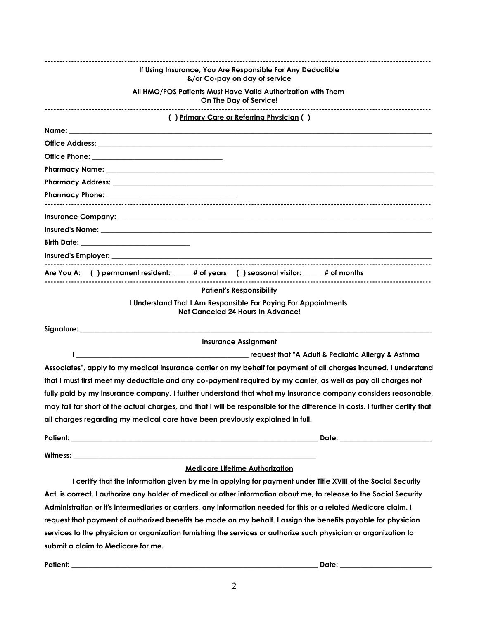| If Using Insurance, You Are Responsible For Any Deductible<br>&/or Co-pay on day of service                                                                                                                                    |
|--------------------------------------------------------------------------------------------------------------------------------------------------------------------------------------------------------------------------------|
| All HMO/POS Patients Must Have Valid Authorization with Them<br>On The Day of Service!                                                                                                                                         |
| () Primary Care or Referring Physician ()                                                                                                                                                                                      |
|                                                                                                                                                                                                                                |
|                                                                                                                                                                                                                                |
|                                                                                                                                                                                                                                |
| Pharmacy Name: University of the Community of the Community of the Community of the Community of the Community of the Community of the Community of the Community of the Community of the Community of the Community of the Co |
| Pharmacy Address: University of the contract of the contract of the contract of the contract of the contract of the contract of the contract of the contract of the contract of the contract of the contract of the contract o |
|                                                                                                                                                                                                                                |
|                                                                                                                                                                                                                                |
| Insured's Name: the contract of the contract of the contract of the contract of the contract of the contract of the contract of the contract of the contract of the contract of the contract of the contract of the contract o |
|                                                                                                                                                                                                                                |
|                                                                                                                                                                                                                                |
|                                                                                                                                                                                                                                |
| Are You A: () permanent resident: _____# of years () seasonal visitor: _____# of months                                                                                                                                        |
| <b>Patient's Responsibility</b>                                                                                                                                                                                                |
| I Understand That I Am Responsible For Paying For Appointments<br>Not Canceled 24 Hours In Advance!                                                                                                                            |
|                                                                                                                                                                                                                                |
| <b>Insurance Assignment</b>                                                                                                                                                                                                    |
|                                                                                                                                                                                                                                |
| Associates", apply to my medical insurance carrier on my behalf for payment of all charges incurred. I understand                                                                                                              |
| that I must first meet my deductible and any co-payment required by my carrier, as well as pay all charges not                                                                                                                 |
| fully paid by my insurance company. I further understand that what my insurance company considers reasonable,                                                                                                                  |
| may fall far short of the actual charges, and that I will be responsible for the difference in costs. I further certify that                                                                                                   |
| all charges regarding my medical care have been previously explained in full.                                                                                                                                                  |
|                                                                                                                                                                                                                                |
|                                                                                                                                                                                                                                |
| <b>Medicare Lifetime Authorization</b>                                                                                                                                                                                         |
| I certify that the information given by me in applying for payment under Title XVIII of the Social Security                                                                                                                    |
| Act, is correct. I authorize any holder of medical or other information about me, to release to the Social Security                                                                                                            |
| Administration or it's intermediaries or carriers, any information needed for this or a related Medicare claim. I                                                                                                              |
| request that payment of authorized benefits be made on my behalf. I assign the benefits payable for physician                                                                                                                  |

**submit a claim to Medicare for me.**

**Patient: \_\_\_\_\_\_\_\_\_\_\_\_\_\_\_\_\_\_\_\_\_\_\_\_\_\_\_\_\_\_\_\_\_\_\_\_\_\_\_\_\_\_\_\_\_\_\_\_\_\_\_\_\_\_\_\_\_\_\_\_\_\_\_\_\_\_\_\_\_\_ Date: \_\_\_\_\_\_\_\_\_\_\_\_\_\_\_\_\_\_\_\_\_\_\_\_\_\_**

**services to the physician or organization furnishing the services or authorize such physician or organization to**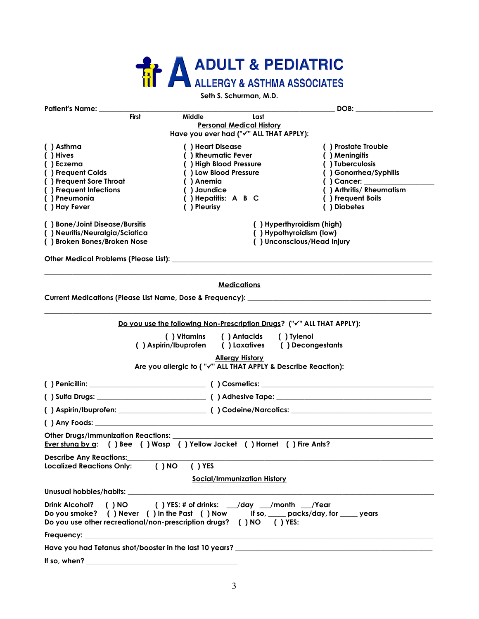# **ADULT & PEDIATRIC**

## **Seth S. Schurman, M.D.**

| Patient's Name: ______                                                                                                                                                                                                         |                                                               |                                    | DOB: the contract of the contract of the contract of the contract of the contract of the contract of the contract of the contract of the contract of the contract of the contract of the contract of the contract of the contr |
|--------------------------------------------------------------------------------------------------------------------------------------------------------------------------------------------------------------------------------|---------------------------------------------------------------|------------------------------------|--------------------------------------------------------------------------------------------------------------------------------------------------------------------------------------------------------------------------------|
| <b>First</b>                                                                                                                                                                                                                   | <b>Middle</b>                                                 | Last                               |                                                                                                                                                                                                                                |
|                                                                                                                                                                                                                                |                                                               | <b>Personal Medical History</b>    |                                                                                                                                                                                                                                |
|                                                                                                                                                                                                                                | Have you ever had ("v" ALL THAT APPLY):                       |                                    |                                                                                                                                                                                                                                |
| () Asthma                                                                                                                                                                                                                      | () Heart Disease                                              |                                    | () Prostate Trouble                                                                                                                                                                                                            |
| ( ) Hives                                                                                                                                                                                                                      | () Rheumatic Fever                                            |                                    | () Meningitis                                                                                                                                                                                                                  |
| () Eczema<br>() Frequent Colds                                                                                                                                                                                                 | () High Blood Pressure<br>() Low Blood Pressure               |                                    | () Tuberculosis<br>() Gonorrhea/Syphilis                                                                                                                                                                                       |
| () Frequent Sore Throat                                                                                                                                                                                                        | () Anemia                                                     |                                    | $( )$ Cancer: $\qquad \qquad \qquad$                                                                                                                                                                                           |
| () Frequent Infections                                                                                                                                                                                                         | () Jaundice                                                   |                                    | () Arthritis/ Rheumatism                                                                                                                                                                                                       |
| () Pneumonia                                                                                                                                                                                                                   | () Hepatitis: A B C                                           |                                    | () Frequent Boils                                                                                                                                                                                                              |
| () Hay Fever                                                                                                                                                                                                                   | () Pleurisy                                                   |                                    | () Diabetes                                                                                                                                                                                                                    |
| () Bone/Joint Disease/Bursitis                                                                                                                                                                                                 |                                                               |                                    | () Hyperthyroidism (high)                                                                                                                                                                                                      |
| () Neuritis/Neuralgia/Sciatica                                                                                                                                                                                                 | () Hypothyroidism (low)                                       |                                    |                                                                                                                                                                                                                                |
| () Broken Bones/Broken Nose                                                                                                                                                                                                    |                                                               |                                    | () Unconscious/Head Injury                                                                                                                                                                                                     |
|                                                                                                                                                                                                                                |                                                               |                                    |                                                                                                                                                                                                                                |
|                                                                                                                                                                                                                                |                                                               | <b>Medications</b>                 |                                                                                                                                                                                                                                |
| Current Medications (Please List Name, Dose & Frequency): _______________________                                                                                                                                              |                                                               |                                    |                                                                                                                                                                                                                                |
|                                                                                                                                                                                                                                |                                                               |                                    | Do you use the following Non-Prescription Drugs? ("v" ALL THAT APPLY):                                                                                                                                                         |
|                                                                                                                                                                                                                                | () Vitamins                                                   | ( ) Antacids                       | ( ) Tylenol                                                                                                                                                                                                                    |
| () Aspirin/Ibuprofen                                                                                                                                                                                                           |                                                               | () Laxatives () Decongestants      |                                                                                                                                                                                                                                |
|                                                                                                                                                                                                                                |                                                               | <b>Allergy History</b>             |                                                                                                                                                                                                                                |
|                                                                                                                                                                                                                                | Are you allergic to ("√" ALL THAT APPLY & Describe Reaction): |                                    |                                                                                                                                                                                                                                |
|                                                                                                                                                                                                                                |                                                               |                                    |                                                                                                                                                                                                                                |
|                                                                                                                                                                                                                                |                                                               |                                    |                                                                                                                                                                                                                                |
|                                                                                                                                                                                                                                |                                                               |                                    |                                                                                                                                                                                                                                |
|                                                                                                                                                                                                                                |                                                               |                                    |                                                                                                                                                                                                                                |
| Other Drugs/Immunization Reactions: ______<br>Ever stung by a: ( ) Bee ( ) Wasp ( ) Yellow Jacket ( ) Hornet ( ) Fire Ants?                                                                                                    |                                                               |                                    |                                                                                                                                                                                                                                |
| <b>Describe Any Reactions:</b>                                                                                                                                                                                                 |                                                               |                                    |                                                                                                                                                                                                                                |
| Localized Reactions Only: ( ) NO                                                                                                                                                                                               | $( )$ YES                                                     |                                    |                                                                                                                                                                                                                                |
|                                                                                                                                                                                                                                |                                                               | <b>Social/Immunization History</b> |                                                                                                                                                                                                                                |
|                                                                                                                                                                                                                                |                                                               |                                    |                                                                                                                                                                                                                                |
| Drink Alcohol? () NO () YES: # of drinks: __/day __/month __/Year<br>Do you smoke? () Never () In the Past () Now If so, ____ packs/day, for ____ years<br>Do you use other recreational/non-prescription drugs? () NO () YES: |                                                               |                                    |                                                                                                                                                                                                                                |
|                                                                                                                                                                                                                                |                                                               |                                    |                                                                                                                                                                                                                                |
| Have you had Tetanus shot/booster in the last 10 years? _________________________                                                                                                                                              |                                                               |                                    |                                                                                                                                                                                                                                |
| If so, when?                                                                                                                                                                                                                   |                                                               |                                    |                                                                                                                                                                                                                                |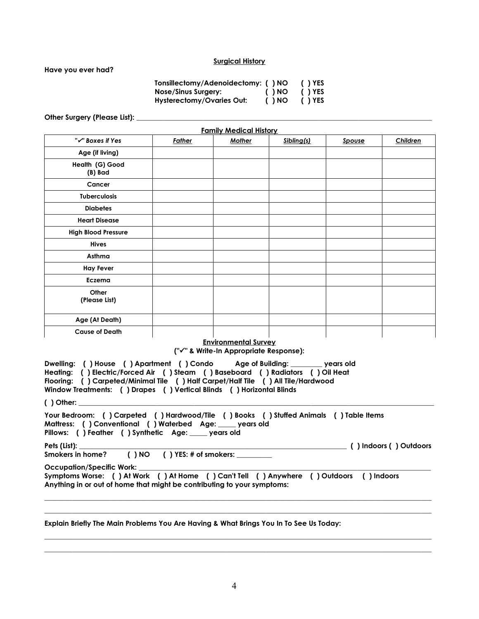#### **Surgical History**

**Have you ever had?**

**Tonsillectomy/Adenoidectomy: ( ) NO ( ) YES Nose/Sinus Surgery: ( ) NO ( ) YES Hysterectomy/Ovaries Out: ( ) NO ( ) YES**

Other Surgery (Please List):

| <b>Family Medical History</b> |               |               |            |        |          |
|-------------------------------|---------------|---------------|------------|--------|----------|
| "√" Boxes if Yes              | <b>Father</b> | <b>Mother</b> | Sibling(s) | Spouse | Children |
| Age (if living)               |               |               |            |        |          |
| Health (G) Good<br>(B) Bad    |               |               |            |        |          |
| Cancer                        |               |               |            |        |          |
| Tuberculosis                  |               |               |            |        |          |
| <b>Diabetes</b>               |               |               |            |        |          |
| <b>Heart Disease</b>          |               |               |            |        |          |
| <b>High Blood Pressure</b>    |               |               |            |        |          |
| <b>Hives</b>                  |               |               |            |        |          |
| Asthma                        |               |               |            |        |          |
| <b>Hay Fever</b>              |               |               |            |        |          |
| Eczema                        |               |               |            |        |          |
| Other<br>(Please List)        |               |               |            |        |          |
| Age (At Death)                |               |               |            |        |          |
| <b>Cause of Death</b>         |               |               |            |        |          |

## **Environmental Survey**

**("" & Write-In Appropriate Response):**

**Dwelling: ( ) House ( ) Apartment ( ) Condo Age of Building: \_\_\_\_\_\_\_\_\_ years old Heating: ( ) Electric/Forced Air ( ) Steam ( ) Baseboard ( ) Radiators ( ) Oil Heat Flooring: ( ) Carpeted/Minimal Tile ( ) Half Carpet/Half Tile ( ) All Tile/Hardwood Window Treatments: ( ) Drapes ( ) Vertical Blinds ( ) Horizontal Blinds** 

**( ) Other: \_\_\_\_\_\_\_\_\_\_\_\_\_\_\_\_\_\_\_\_\_\_\_\_\_\_\_\_\_\_\_\_\_\_\_\_\_\_\_\_\_\_\_\_\_\_\_\_\_\_\_\_\_\_\_\_\_\_\_\_\_\_\_\_\_\_\_\_\_\_\_\_\_\_\_\_\_\_\_\_\_\_\_\_\_\_\_\_\_\_\_\_\_\_\_\_\_\_\_\_\_**

**Your Bedroom: ( ) Carpeted ( ) Hardwood/Tile ( ) Books ( ) Stuffed Animals ( ) Table Items Mattress: ( ) Conventional ( ) Waterbed Age: \_\_\_\_\_ years old Pillows: ( ) Feather ( ) Synthetic Age: \_\_\_\_\_ years old Pets (List): \_\_\_\_\_\_\_\_\_\_\_\_\_\_\_\_\_\_\_\_\_\_\_\_\_\_\_\_\_\_\_\_\_\_\_\_\_\_\_\_\_\_\_\_\_\_\_\_\_\_\_\_\_\_\_\_\_\_\_\_\_\_\_\_\_\_\_\_\_\_\_\_\_\_\_\_ ( ) Indoors ( ) Outdoors** Smokers in home? ( ) NO ( ) YES: # of smokers: Occupation/Specific Work: **Symptoms Worse: ( ) At Work ( ) At Home ( ) Can't Tell ( ) Anywhere ( ) Outdoors ( ) Indoors Anything in or out of home that might be contributing to your symptoms: \_\_\_\_\_\_\_\_\_\_\_\_\_\_\_\_\_\_\_\_\_\_\_\_\_\_\_\_\_\_\_\_\_\_\_\_\_\_\_\_\_\_\_\_\_\_\_\_\_\_\_\_\_\_\_\_\_\_\_\_\_\_\_\_\_\_\_\_\_\_\_\_\_\_\_\_\_\_\_\_\_\_\_\_\_\_\_\_\_\_\_\_\_\_\_\_\_\_\_\_\_\_\_\_\_\_\_\_\_\_**

**\_\_\_\_\_\_\_\_\_\_\_\_\_\_\_\_\_\_\_\_\_\_\_\_\_\_\_\_\_\_\_\_\_\_\_\_\_\_\_\_\_\_\_\_\_\_\_\_\_\_\_\_\_\_\_\_\_\_\_\_\_\_\_\_\_\_\_\_\_\_\_\_\_\_\_\_\_\_\_\_\_\_\_\_\_\_\_\_\_\_\_\_\_\_\_\_\_\_\_\_\_\_\_\_\_\_\_\_\_\_**

**\_\_\_\_\_\_\_\_\_\_\_\_\_\_\_\_\_\_\_\_\_\_\_\_\_\_\_\_\_\_\_\_\_\_\_\_\_\_\_\_\_\_\_\_\_\_\_\_\_\_\_\_\_\_\_\_\_\_\_\_\_\_\_\_\_\_\_\_\_\_\_\_\_\_\_\_\_\_\_\_\_\_\_\_\_\_\_\_\_\_\_\_\_\_\_\_\_\_\_\_\_\_\_\_\_\_\_\_\_\_ \_\_\_\_\_\_\_\_\_\_\_\_\_\_\_\_\_\_\_\_\_\_\_\_\_\_\_\_\_\_\_\_\_\_\_\_\_\_\_\_\_\_\_\_\_\_\_\_\_\_\_\_\_\_\_\_\_\_\_\_\_\_\_\_\_\_\_\_\_\_\_\_\_\_\_\_\_\_\_\_\_\_\_\_\_\_\_\_\_\_\_\_\_\_\_\_\_\_\_\_\_\_\_\_\_\_\_\_\_\_**

#### **Explain Briefly The Main Problems You Are Having & What Brings You In To See Us Today:**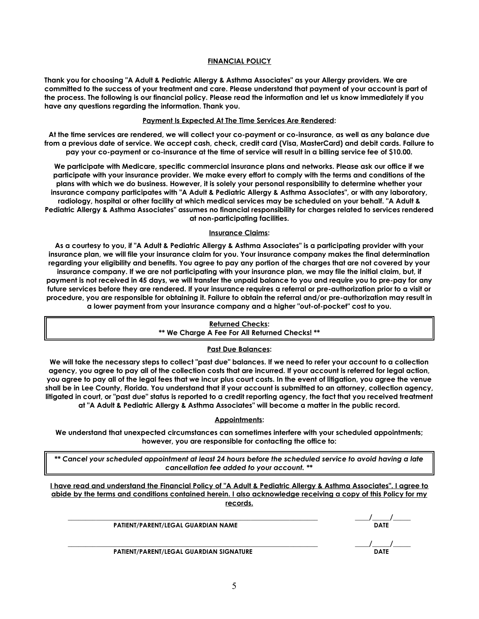## **FINANCIAL POLICY**

**Thank you for choosing "A Adult & Pediatric Allergy & Asthma Associates" as your Allergy providers. We are committed to the success of your treatment and care. Please understand that payment of your account is part of the process. The following is our financial policy. Please read the information and let us know immediately if you have any questions regarding the information. Thank you.**

# **Payment Is Expected At The Time Services Are Rendered:**

**At the time services are rendered, we will collect your co-payment or co-insurance, as well as any balance due from a previous date of service. We accept cash, check, credit card (Visa, MasterCard) and debit cards. Failure to pay your co-payment or co-insurance at the time of service will result in a billing service fee of \$10.00.**

**We participate with Medicare, specific commercial insurance plans and networks. Please ask our office if we participate with your insurance provider. We make every effort to comply with the terms and conditions of the plans with which we do business. However, it is solely your personal responsibility to determine whether your insurance company participates with "A Adult & Pediatric Allergy & Asthma Associates", or with any laboratory, radiology, hospital or other facility at which medical services may be scheduled on your behalf. "A Adult & Pediatric Allergy & Asthma Associates" assumes no financial responsibility for charges related to services rendered at non-participating facilities.**

## **Insurance Claims:**

**As a courtesy to you, if "A Adult & Pediatric Allergy & Asthma Associates" is a participating provider with your insurance plan, we will file your insurance claim for you. Your insurance company makes the final determination regarding your eligibility and benefits. You agree to pay any portion of the charges that are not covered by your insurance company. If we are not participating with your insurance plan, we may file the initial claim, but, if payment is not received in 45 days, we will transfer the unpaid balance to you and require you to pre-pay for any future services before they are rendered. If your insurance requires a referral or pre-authorization prior to a visit or procedure, you are responsible for obtaining it. Failure to obtain the referral and/or pre-authorization may result in a lower payment from your insurance company and a higher "out-of-pocket" cost to you.**

> **Returned Checks: \*\* We Charge A Fee For All Returned Checks! \*\***

## **Past Due Balances:**

**We will take the necessary steps to collect "past due" balances. If we need to refer your account to a collection agency, you agree to pay all of the collection costs that are incurred. If your account is referred for legal action, you agree to pay all of the legal fees that we incur plus court costs. In the event of litigation, you agree the venue shall be in Lee County, Florida. You understand that if your account is submitted to an attorney, collection agency, litigated in court, or "past due" status is reported to a credit reporting agency, the fact that you received treatment at "A Adult & Pediatric Allergy & Asthma Associates" will become a matter in the public record.**

## **Appointments:**

**We understand that unexpected circumstances can sometimes interfere with your scheduled appointments; however, you are responsible for contacting the office to:**

*\*\* Cancel your scheduled appointment at least 24 hours before the scheduled service to avoid having a late cancellation fee added to your account. \*\**

**I have read and understand the Financial Policy of "A Adult & Pediatric Allergy & Asthma Associates". I agree to abide by the terms and conditions contained herein. I also acknowledge receiving a copy of this Policy for my records.**

 **PATIENT/PARENT/LEGAL GUARDIAN NAME DATE**

**\_\_\_\_\_\_\_\_\_\_\_\_\_\_\_\_\_\_\_\_\_\_\_\_\_\_\_\_\_\_\_\_\_\_\_\_\_\_\_\_\_\_\_\_\_\_\_\_\_\_\_\_\_\_\_\_\_\_\_\_\_\_\_\_\_\_\_\_\_\_\_ \_\_\_\_/\_\_\_\_\_/\_\_\_\_\_**

 $\frac{1}{\text{DATE}}$ 

**PATIENT/PARENT/LEGAL GUARDIAN SIGNATURE** 

5